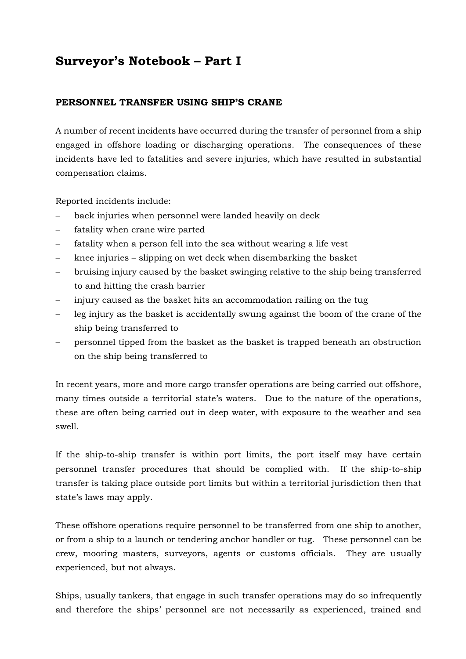## **Surveyor's Notebook – Part I**

## **PERSONNEL TRANSFER USING SHIP'S CRANE**

A number of recent incidents have occurred during the transfer of personnel from a ship engaged in offshore loading or discharging operations. The consequences of these incidents have led to fatalities and severe injuries, which have resulted in substantial compensation claims.

Reported incidents include:

- back injuries when personnel were landed heavily on deck
- − fatality when crane wire parted
- − fatality when a person fell into the sea without wearing a life vest
- − knee injuries slipping on wet deck when disembarking the basket
- − bruising injury caused by the basket swinging relative to the ship being transferred to and hitting the crash barrier
- − injury caused as the basket hits an accommodation railing on the tug
- − leg injury as the basket is accidentally swung against the boom of the crane of the ship being transferred to
- − personnel tipped from the basket as the basket is trapped beneath an obstruction on the ship being transferred to

In recent years, more and more cargo transfer operations are being carried out offshore, many times outside a territorial state's waters. Due to the nature of the operations, these are often being carried out in deep water, with exposure to the weather and sea swell.

If the ship-to-ship transfer is within port limits, the port itself may have certain personnel transfer procedures that should be complied with. If the ship-to-ship transfer is taking place outside port limits but within a territorial jurisdiction then that state's laws may apply.

These offshore operations require personnel to be transferred from one ship to another, or from a ship to a launch or tendering anchor handler or tug. These personnel can be crew, mooring masters, surveyors, agents or customs officials. They are usually experienced, but not always.

Ships, usually tankers, that engage in such transfer operations may do so infrequently and therefore the ships' personnel are not necessarily as experienced, trained and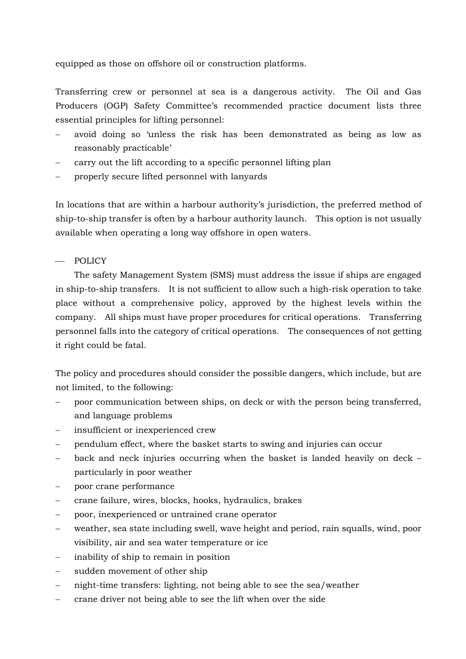equipped as those on offshore oil or construction platforms.

Transferring crew or personnel at sea is a dangerous activity. The Oil and Gas Producers (OGP) Safety Committee's recommended practice document lists three essential principles for lifting personnel:

- − avoid doing so 'unless the risk has been demonstrated as being as low as reasonably practicable'
- carry out the lift according to a specific personnel lifting plan
- properly secure lifted personnel with lanyards

In locations that are within a harbour authority's jurisdiction, the preferred method of ship-to-ship transfer is often by a harbour authority launch. This option is not usually available when operating a long way offshore in open waters.

## $-$  POLICY

 The safety Management System (SMS) must address the issue if ships are engaged in ship-to-ship transfers. It is not sufficient to allow such a high-risk operation to take place without a comprehensive policy, approved by the highest levels within the company. All ships must have proper procedures for critical operations. Transferring personnel falls into the category of critical operations. The consequences of not getting it right could be fatal.

The policy and procedures should consider the possible dangers, which include, but are not limited, to the following:

- poor communication between ships, on deck or with the person being transferred, and language problems
- insufficient or inexperienced crew
- pendulum effect, where the basket starts to swing and injuries can occur
- − back and neck injuries occurring when the basket is landed heavily on deck particularly in poor weather
- − poor crane performance
- − crane failure, wires, blocks, hooks, hydraulics, brakes
- − poor, inexperienced or untrained crane operator
- − weather, sea state including swell, wave height and period, rain squalls, wind, poor visibility, air and sea water temperature or ice
- − inability of ship to remain in position
- sudden movement of other ship
- − night-time transfers: lighting, not being able to see the sea/weather
- − crane driver not being able to see the lift when over the side